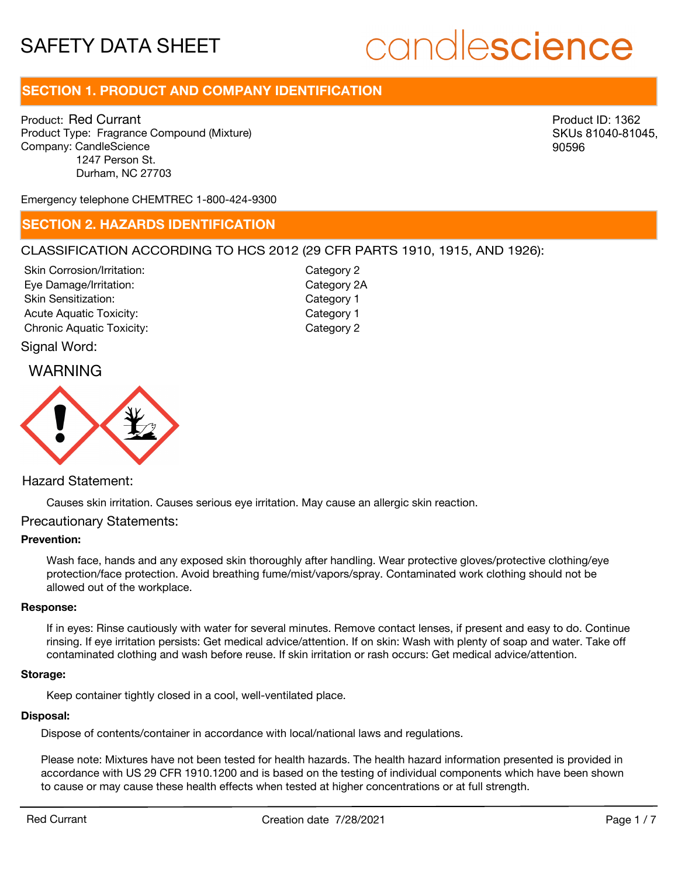# candlescience

# **SECTION 1. PRODUCT AND COMPANY IDENTIFICATION**

Product: Red Currant Product Type: Fragrance Compound (Mixture) Company: CandleScience 1247 Person St. Durham, NC 27703

Product ID: 1362 SKUs 81040-81045, 90596

Emergency telephone CHEMTREC 1-800-424-9300

#### **SECTION 2. HAZARDS IDENTIFICATION**

#### CLASSIFICATION ACCORDING TO HCS 2012 (29 CFR PARTS 1910, 1915, AND 1926):

Skin Corrosion/Irritation: Eye Damage/Irritation: Skin Sensitization: Acute Aquatic Toxicity: Category 1 Chronic Aquatic Toxicity: Chronic Aquatic Toxicity:

Category 2 Category 2A Category 1

#### Signal Word:





#### Hazard Statement:

Causes skin irritation. Causes serious eye irritation. May cause an allergic skin reaction.

#### Precautionary Statements:

#### **Prevention:**

Wash face, hands and any exposed skin thoroughly after handling. Wear protective gloves/protective clothing/eye protection/face protection. Avoid breathing fume/mist/vapors/spray. Contaminated work clothing should not be allowed out of the workplace.

#### **Response:**

If in eyes: Rinse cautiously with water for several minutes. Remove contact lenses, if present and easy to do. Continue rinsing. If eye irritation persists: Get medical advice/attention. If on skin: Wash with plenty of soap and water. Take off contaminated clothing and wash before reuse. If skin irritation or rash occurs: Get medical advice/attention.

#### **Storage:**

Keep container tightly closed in a cool, well-ventilated place.

#### **Disposal:**

Dispose of contents/container in accordance with local/national laws and regulations.

Please note: Mixtures have not been tested for health hazards. The health hazard information presented is provided in accordance with US 29 CFR 1910.1200 and is based on the testing of individual components which have been shown to cause or may cause these health effects when tested at higher concentrations or at full strength.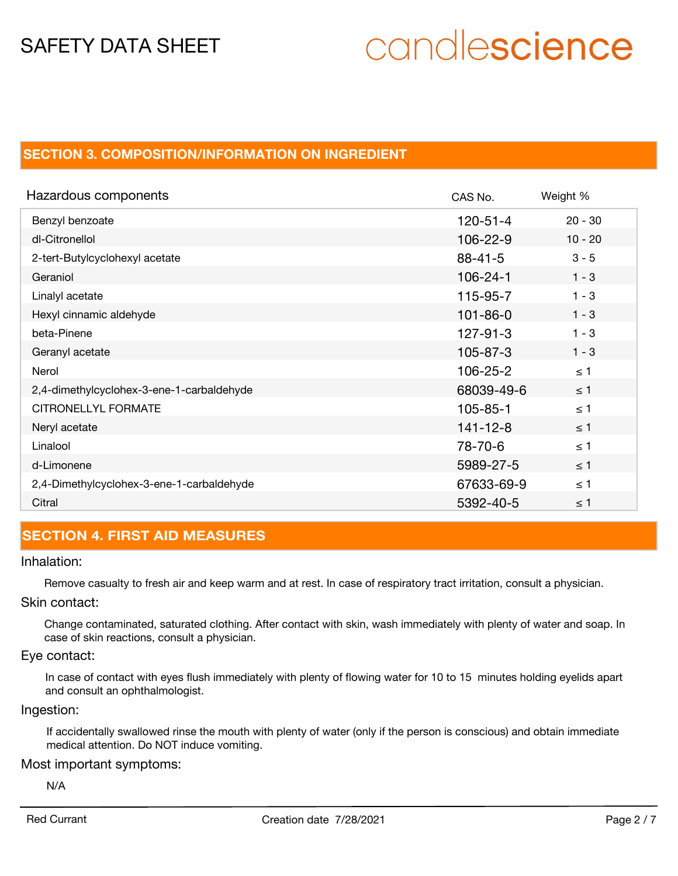# candlescience

# **SECTION 3. COMPOSITION/INFORMATION ON INGREDIENT**

| Hazardous components                      | CAS No.        | Weight %  |
|-------------------------------------------|----------------|-----------|
| Benzyl benzoate                           | $120 - 51 - 4$ | $20 - 30$ |
| dl-Citronellol                            | $106 - 22 - 9$ | $10 - 20$ |
| 2-tert-Butylcyclohexyl acetate            | $88 - 41 - 5$  | $3 - 5$   |
| Geraniol                                  | $106 - 24 - 1$ | $1 - 3$   |
| Linalyl acetate                           | 115-95-7       | $1 - 3$   |
| Hexyl cinnamic aldehyde                   | $101 - 86 - 0$ | $1 - 3$   |
| beta-Pinene                               | $127 - 91 - 3$ | $1 - 3$   |
| Geranyl acetate                           | $105 - 87 - 3$ | $1 - 3$   |
| Nerol                                     | 106-25-2       | $\leq 1$  |
| 2,4-dimethylcyclohex-3-ene-1-carbaldehyde | 68039-49-6     | $\leq$ 1  |
| CITRONELLYL FORMATE                       | $105 - 85 - 1$ | $\leq$ 1  |
| Neryl acetate                             | $141 - 12 - 8$ | $\leq$ 1  |
| Linalool                                  | 78-70-6        | $\leq 1$  |
| d-Limonene                                | 5989-27-5      | $\leq$ 1  |
| 2,4-Dimethylcyclohex-3-ene-1-carbaldehyde | 67633-69-9     | $\leq 1$  |
| Citral                                    | 5392-40-5      | $\leq$ 1  |

## **SECTION 4. FIRST AID MEASURES**

#### Inhalation:

Remove casualty to fresh air and keep warm and at rest. In case of respiratory tract irritation, consult a physician.

#### Skin contact:

Change contaminated, saturated clothing. After contact with skin, wash immediately with plenty of water and soap. In case of skin reactions, consult a physician.

#### Eye contact:

In case of contact with eyes flush immediately with plenty of flowing water for 10 to 15 minutes holding eyelids apart and consult an ophthalmologist.

#### Ingestion:

If accidentally swallowed rinse the mouth with plenty of water (only if the person is conscious) and obtain immediate medical attention. Do NOT induce vomiting.

#### Most important symptoms:

N/A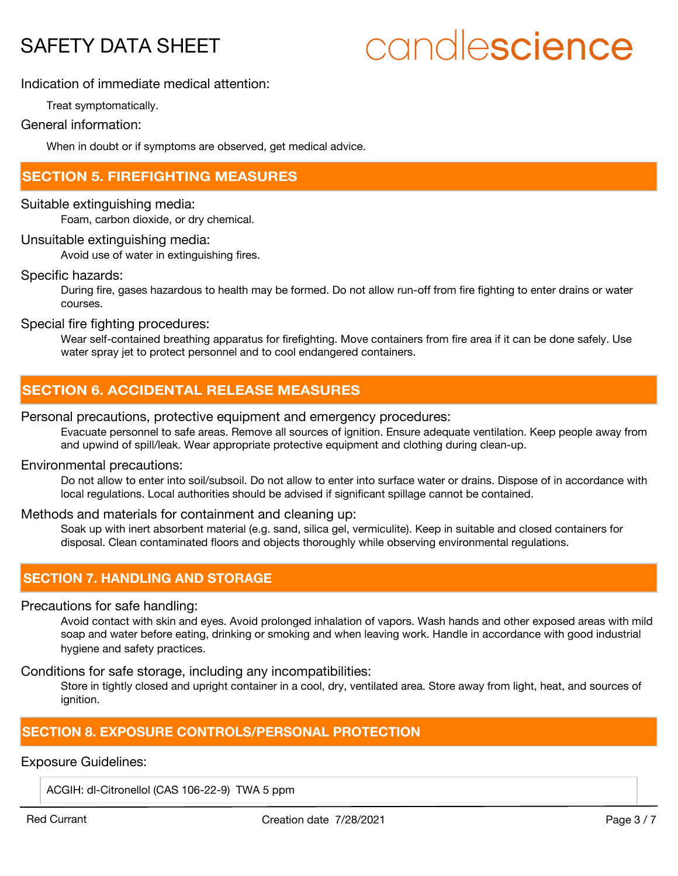# candlescience

#### Indication of immediate medical attention:

Treat symptomatically.

#### General information:

When in doubt or if symptoms are observed, get medical advice.

### **SECTION 5. FIREFIGHTING MEASURES**

#### Suitable extinguishing media:

Foam, carbon dioxide, or dry chemical.

#### Unsuitable extinguishing media:

Avoid use of water in extinguishing fires.

#### Specific hazards:

During fire, gases hazardous to health may be formed. Do not allow run-off from fire fighting to enter drains or water courses.

Special fire fighting procedures:

Wear self-contained breathing apparatus for firefighting. Move containers from fire area if it can be done safely. Use water spray jet to protect personnel and to cool endangered containers.

## **SECTION 6. ACCIDENTAL RELEASE MEASURES**

#### Personal precautions, protective equipment and emergency procedures:

Evacuate personnel to safe areas. Remove all sources of ignition. Ensure adequate ventilation. Keep people away from and upwind of spill/leak. Wear appropriate protective equipment and clothing during clean-up.

#### Environmental precautions:

Do not allow to enter into soil/subsoil. Do not allow to enter into surface water or drains. Dispose of in accordance with local regulations. Local authorities should be advised if significant spillage cannot be contained.

#### Methods and materials for containment and cleaning up:

Soak up with inert absorbent material (e.g. sand, silica gel, vermiculite). Keep in suitable and closed containers for disposal. Clean contaminated floors and objects thoroughly while observing environmental regulations.

## **SECTION 7. HANDLING AND STORAGE**

#### Precautions for safe handling:

Avoid contact with skin and eyes. Avoid prolonged inhalation of vapors. Wash hands and other exposed areas with mild soap and water before eating, drinking or smoking and when leaving work. Handle in accordance with good industrial hygiene and safety practices.

Conditions for safe storage, including any incompatibilities:

Store in tightly closed and upright container in a cool, dry, ventilated area. Store away from light, heat, and sources of ignition.

### **SECTION 8. EXPOSURE CONTROLS/PERSONAL PROTECTION**

#### Exposure Guidelines:

ACGIH: dl-Citronellol (CAS 106-22-9) TWA 5 ppm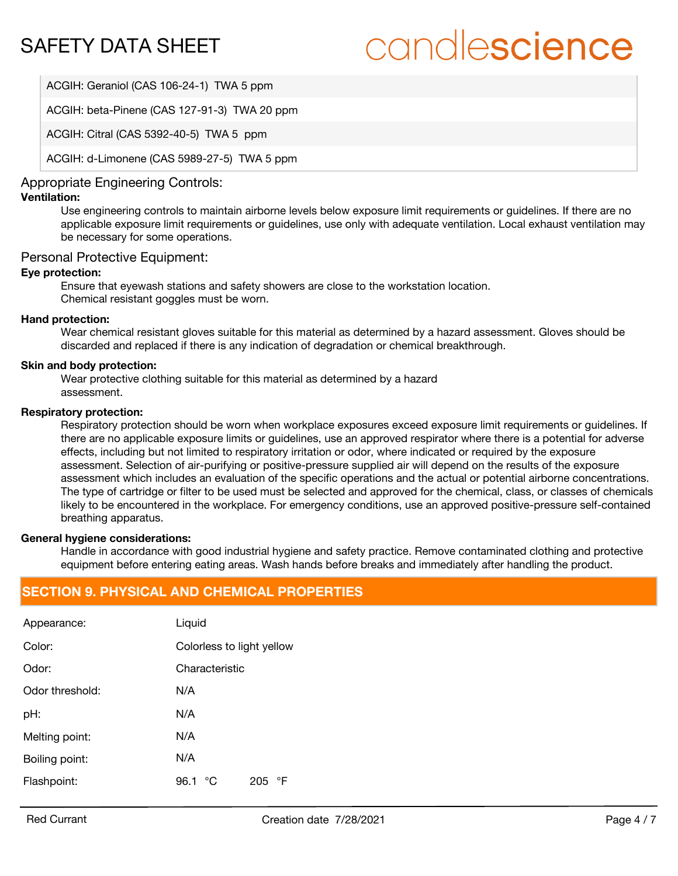# candlescience

ACGIH: Geraniol (CAS 106-24-1) TWA 5 ppm

ACGIH: beta-Pinene (CAS 127-91-3) TWA 20 ppm

ACGIH: Citral (CAS 5392-40-5) TWA 5 ppm

ACGIH: d-Limonene (CAS 5989-27-5) TWA 5 ppm

#### Appropriate Engineering Controls:

#### **Ventilation:**

Use engineering controls to maintain airborne levels below exposure limit requirements or guidelines. If there are no applicable exposure limit requirements or guidelines, use only with adequate ventilation. Local exhaust ventilation may be necessary for some operations.

#### Personal Protective Equipment:

#### **Eye protection:**

Ensure that eyewash stations and safety showers are close to the workstation location. Chemical resistant goggles must be worn.

#### **Hand protection:**

Wear chemical resistant gloves suitable for this material as determined by a hazard assessment. Gloves should be discarded and replaced if there is any indication of degradation or chemical breakthrough.

#### **Skin and body protection:**

Wear protective clothing suitable for this material as determined by a hazard assessment.

#### **Respiratory protection:**

Respiratory protection should be worn when workplace exposures exceed exposure limit requirements or guidelines. If there are no applicable exposure limits or guidelines, use an approved respirator where there is a potential for adverse effects, including but not limited to respiratory irritation or odor, where indicated or required by the exposure assessment. Selection of air-purifying or positive-pressure supplied air will depend on the results of the exposure assessment which includes an evaluation of the specific operations and the actual or potential airborne concentrations. The type of cartridge or filter to be used must be selected and approved for the chemical, class, or classes of chemicals likely to be encountered in the workplace. For emergency conditions, use an approved positive-pressure self-contained breathing apparatus.

#### **General hygiene considerations:**

Handle in accordance with good industrial hygiene and safety practice. Remove contaminated clothing and protective equipment before entering eating areas. Wash hands before breaks and immediately after handling the product.

## **SECTION 9. PHYSICAL AND CHEMICAL PROPERTIES**

| Appearance:     | Liquid                    |  |
|-----------------|---------------------------|--|
| Color:          | Colorless to light yellow |  |
| Odor:           | Characteristic            |  |
| Odor threshold: | N/A                       |  |
| pH:             | N/A                       |  |
| Melting point:  | N/A                       |  |
| Boiling point:  | N/A                       |  |
| Flashpoint:     | ℃<br>96.1<br>°F<br>205    |  |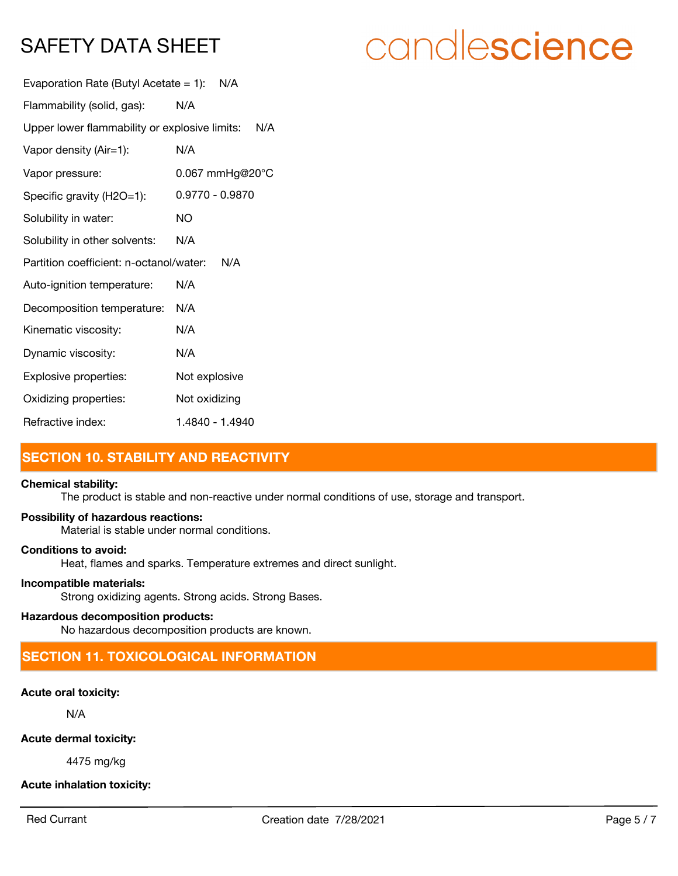| candlescience |  |  |
|---------------|--|--|
|               |  |  |

| Evaporation Rate (Butyl Acetate = 1): $N/A$       |                 |  |
|---------------------------------------------------|-----------------|--|
| Flammability (solid, gas):                        | N/A             |  |
| Upper lower flammability or explosive limits: N/A |                 |  |
| Vapor density (Air=1):                            | N/A             |  |
| Vapor pressure:                                   | 0.067 mmHg@20°C |  |
| Specific gravity (H2O=1):                         | 0.9770 - 0.9870 |  |
| Solubility in water:                              | <b>NO</b>       |  |
| Solubility in other solvents:                     | N/A             |  |
| Partition coefficient: n-octanol/water:<br>N/A    |                 |  |
| Auto-ignition temperature:                        | N/A             |  |
| Decomposition temperature:                        | N/A             |  |
| Kinematic viscosity:                              | N/A             |  |
| Dynamic viscosity:                                | N/A             |  |
| Explosive properties:                             | Not explosive   |  |
| Oxidizing properties:                             | Not oxidizing   |  |
| Refractive index:                                 | 1.4840 - 1.4940 |  |

# **SECTION 10. STABILITY AND REACTIVITY**

#### **Chemical stability:**

The product is stable and non-reactive under normal conditions of use, storage and transport.

#### **Possibility of hazardous reactions:**

Material is stable under normal conditions.

## **Conditions to avoid:**

Heat, flames and sparks. Temperature extremes and direct sunlight.

#### **Incompatible materials:**

Strong oxidizing agents. Strong acids. Strong Bases.

#### **Hazardous decomposition products:**

No hazardous decomposition products are known.

# **SECTION 11. TOXICOLOGICAL INFORMATION**

## **Acute oral toxicity:**

N/A

#### **Acute dermal toxicity:**

4475 mg/kg

# **Acute inhalation toxicity:**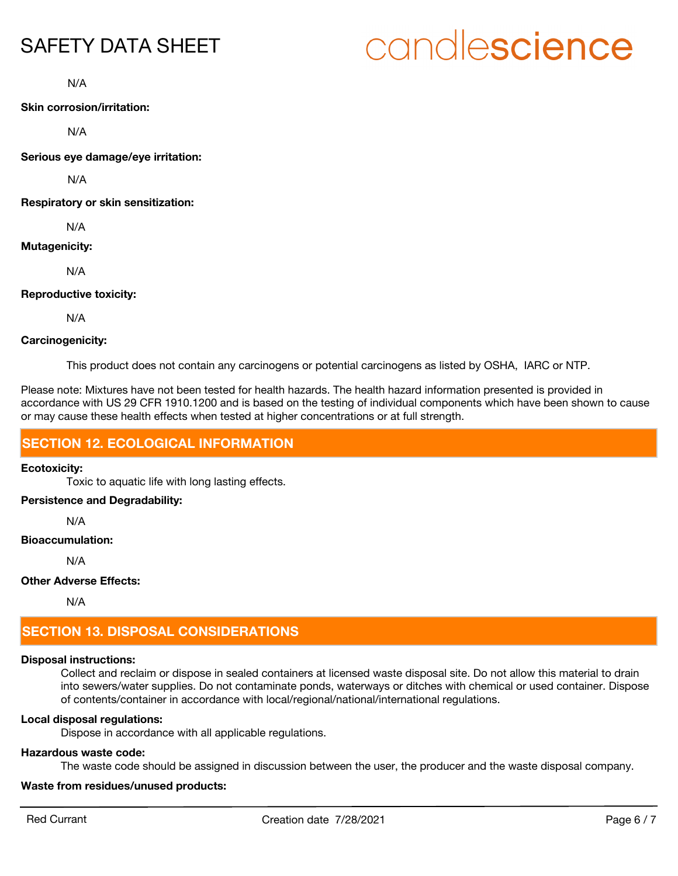# candlescience

N/A

**Skin corrosion/irritation:**

N/A

**Serious eye damage/eye irritation:**

N/A

**Respiratory or skin sensitization:**

N/A

#### **Mutagenicity:**

N/A

#### **Reproductive toxicity:**

N/A

#### **Carcinogenicity:**

This product does not contain any carcinogens or potential carcinogens as listed by OSHA, IARC or NTP.

Please note: Mixtures have not been tested for health hazards. The health hazard information presented is provided in accordance with US 29 CFR 1910.1200 and is based on the testing of individual components which have been shown to cause or may cause these health effects when tested at higher concentrations or at full strength.

## **SECTION 12. ECOLOGICAL INFORMATION**

#### **Ecotoxicity:**

Toxic to aquatic life with long lasting effects.

#### **Persistence and Degradability:**

N/A

#### **Bioaccumulation:**

N/A

#### **Other Adverse Effects:**

N/A

# **SECTION 13. DISPOSAL CONSIDERATIONS**

#### **Disposal instructions:**

Collect and reclaim or dispose in sealed containers at licensed waste disposal site. Do not allow this material to drain into sewers/water supplies. Do not contaminate ponds, waterways or ditches with chemical or used container. Dispose of contents/container in accordance with local/regional/national/international regulations.

#### **Local disposal regulations:**

Dispose in accordance with all applicable regulations.

#### **Hazardous waste code:**

The waste code should be assigned in discussion between the user, the producer and the waste disposal company.

#### **Waste from residues/unused products:**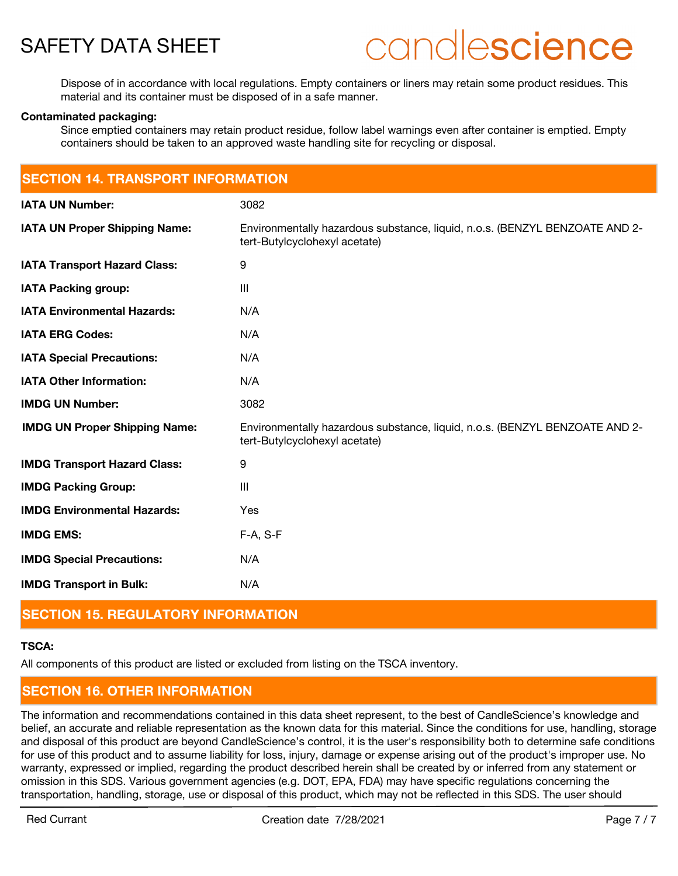

# candlescience

Dispose of in accordance with local regulations. Empty containers or liners may retain some product residues. This material and its container must be disposed of in a safe manner.

#### **Contaminated packaging:**

Since emptied containers may retain product residue, follow label warnings even after container is emptied. Empty containers should be taken to an approved waste handling site for recycling or disposal.

| <b>SECTION 14. TRANSPORT INFORMATION</b> |                                                                                                              |  |
|------------------------------------------|--------------------------------------------------------------------------------------------------------------|--|
| <b>IATA UN Number:</b>                   | 3082                                                                                                         |  |
| <b>IATA UN Proper Shipping Name:</b>     | Environmentally hazardous substance, liquid, n.o.s. (BENZYL BENZOATE AND 2-<br>tert-Butylcyclohexyl acetate) |  |
| <b>IATA Transport Hazard Class:</b>      | 9                                                                                                            |  |
| <b>IATA Packing group:</b>               | III                                                                                                          |  |
| <b>IATA Environmental Hazards:</b>       | N/A                                                                                                          |  |
| <b>IATA ERG Codes:</b>                   | N/A                                                                                                          |  |
| <b>IATA Special Precautions:</b>         | N/A                                                                                                          |  |
| <b>IATA Other Information:</b>           | N/A                                                                                                          |  |
| <b>IMDG UN Number:</b>                   | 3082                                                                                                         |  |
| <b>IMDG UN Proper Shipping Name:</b>     | Environmentally hazardous substance, liquid, n.o.s. (BENZYL BENZOATE AND 2-<br>tert-Butylcyclohexyl acetate) |  |
| <b>IMDG Transport Hazard Class:</b>      | 9                                                                                                            |  |
| <b>IMDG Packing Group:</b>               | III                                                                                                          |  |
| <b>IMDG Environmental Hazards:</b>       | Yes                                                                                                          |  |
| <b>IMDG EMS:</b>                         | F-A, S-F                                                                                                     |  |
| <b>IMDG Special Precautions:</b>         | N/A                                                                                                          |  |
| <b>IMDG Transport in Bulk:</b>           | N/A                                                                                                          |  |

### **SECTION 15. REGULATORY INFORMATION**

#### **TSCA:**

All components of this product are listed or excluded from listing on the TSCA inventory.

# **SECTION 16. OTHER INFORMATION**

The information and recommendations contained in this data sheet represent, to the best of CandleScience's knowledge and belief, an accurate and reliable representation as the known data for this material. Since the conditions for use, handling, storage and disposal of this product are beyond CandleScience's control, it is the user's responsibility both to determine safe conditions for use of this product and to assume liability for loss, injury, damage or expense arising out of the product's improper use. No warranty, expressed or implied, regarding the product described herein shall be created by or inferred from any statement or omission in this SDS. Various government agencies (e.g. DOT, EPA, FDA) may have specific regulations concerning the transportation, handling, storage, use or disposal of this product, which may not be reflected in this SDS. The user should